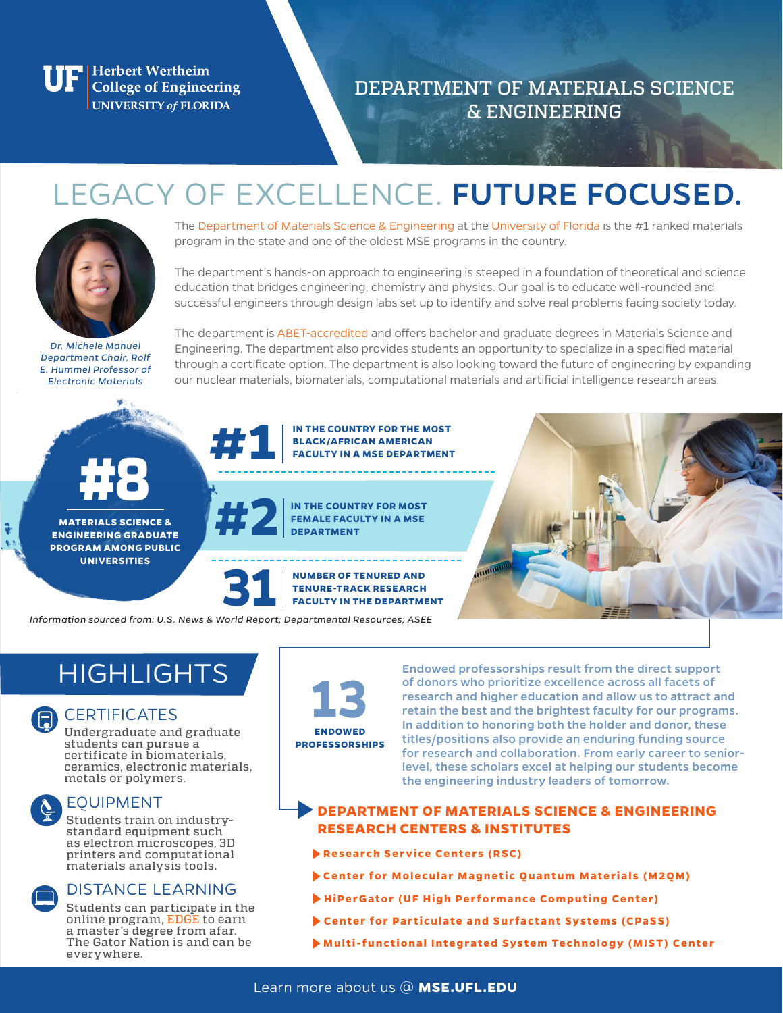**Herbert Wertheim** College of Engineering **UNIVERSITY of FLORIDA** 

DEPARTMENT OF MATERIALS SCIENCE & ENGINEERING

# LEGACY OF EXCELLENCE. FUTURE FOCUSED.



The Department of Materials Science & Engineering at the University of Florida is the #1 ranked materials program in the state and one of the oldest MSE programs in the country.

The department's hands-on approach to engineering is steeped in a foundation of theoretical and science education that bridges engineering, chemistry and physics. Our goal is to educate well-rounded and successful engineers through design labs set up to identify and solve real problems facing society today.

*Dr. Michele Manuel Department Chair, Rolf E. Hummel Professor of Electronic Materials*

The department is ABET-accredited and offers bachelor and graduate degrees in Materials Science and Engineering. The department also provides students an opportunity to specialize in a specified material through a certificate option. The department is also looking toward the future of engineering by expanding our nuclear materials, biomaterials, computational materials and artificial intelligence research areas.

ww



**MATERIALS SCIENCE & ENGINEERING GRADUATE PROGRAM AMONG PUBLIC UNIVERSITIES**



**IN THE COUNTRY FOR MOST FEMALE FACULTY IN A MSE DEPARTMENT**

**BLACK/AFRICAN AMERICAN** 



*Information sourced from: U.S. News & World Report; Departmental Resources; ASEE*

## **HIGHLIGHTS**



### **CERTIFICATES**

Undergraduate and graduate students can pursue a certificate in biomaterials, ceramics, electronic materials, metals or polymers.



#### EQUIPMENT

Students train on industrystandard equipment such as electron microscopes, 3D printers and computational materials analysis tools.

#### DISTANCE LEARNING

Students can participate in the online program, EDGE to earn a master's degree from afar. The Gator Nation is and can be everywhere.



Endowed professorships result from the direct support of donors who prioritize excellence across all facets of research and higher education and allow us to attract and retain the best and the brightest faculty for our programs. In addition to honoring both the holder and donor, these titles/positions also provide an enduring funding source for research and collaboration. From early career to seniorlevel, these scholars excel at helping our students become the engineering industry leaders of tomorrow.

#### **DEPARTMENT OF MATERIALS SCIENCE & ENGINEERING RESEARCH CENTERS & INSTITUTES**

- **Research Service Centers (RSC)**
- **Center for Molecular Magnetic Quantum Materials (M2QM)**
- **HiPerGator (UF High Performance Computing Center)**
- **Center for Particulate and Surfactant Systems (CPaSS)**
- **Multi-functional Integrated System Technology (MIST) Center**